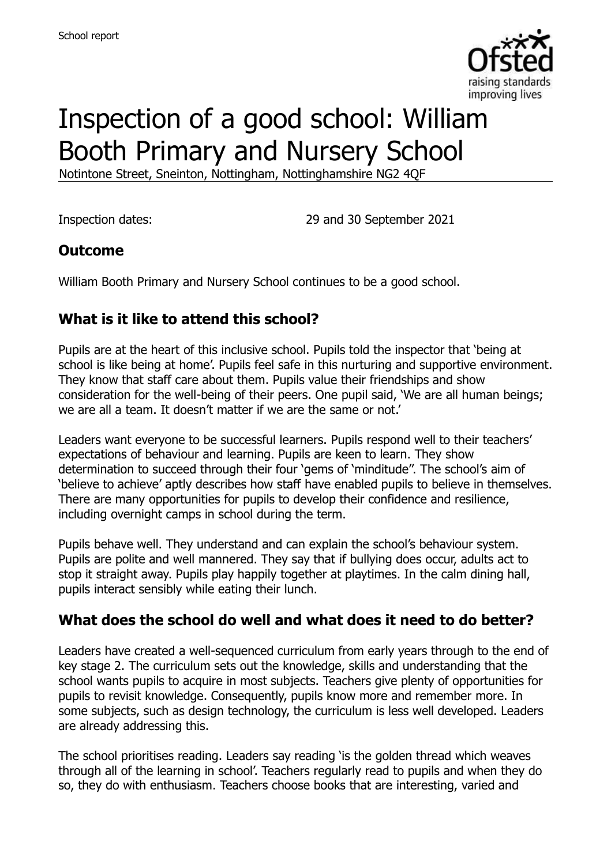

# Inspection of a good school: William Booth Primary and Nursery School

Notintone Street, Sneinton, Nottingham, Nottinghamshire NG2 4QF

Inspection dates: 29 and 30 September 2021

#### **Outcome**

William Booth Primary and Nursery School continues to be a good school.

#### **What is it like to attend this school?**

Pupils are at the heart of this inclusive school. Pupils told the inspector that 'being at school is like being at home'. Pupils feel safe in this nurturing and supportive environment. They know that staff care about them. Pupils value their friendships and show consideration for the well-being of their peers. One pupil said, 'We are all human beings; we are all a team. It doesn't matter if we are the same or not.'

Leaders want everyone to be successful learners. Pupils respond well to their teachers' expectations of behaviour and learning. Pupils are keen to learn. They show determination to succeed through their four 'gems of 'minditude''. The school's aim of 'believe to achieve' aptly describes how staff have enabled pupils to believe in themselves. There are many opportunities for pupils to develop their confidence and resilience, including overnight camps in school during the term.

Pupils behave well. They understand and can explain the school's behaviour system. Pupils are polite and well mannered. They say that if bullying does occur, adults act to stop it straight away. Pupils play happily together at playtimes. In the calm dining hall, pupils interact sensibly while eating their lunch.

#### **What does the school do well and what does it need to do better?**

Leaders have created a well-sequenced curriculum from early years through to the end of key stage 2. The curriculum sets out the knowledge, skills and understanding that the school wants pupils to acquire in most subjects. Teachers give plenty of opportunities for pupils to revisit knowledge. Consequently, pupils know more and remember more. In some subjects, such as design technology, the curriculum is less well developed. Leaders are already addressing this.

The school prioritises reading. Leaders say reading 'is the golden thread which weaves through all of the learning in school'. Teachers regularly read to pupils and when they do so, they do with enthusiasm. Teachers choose books that are interesting, varied and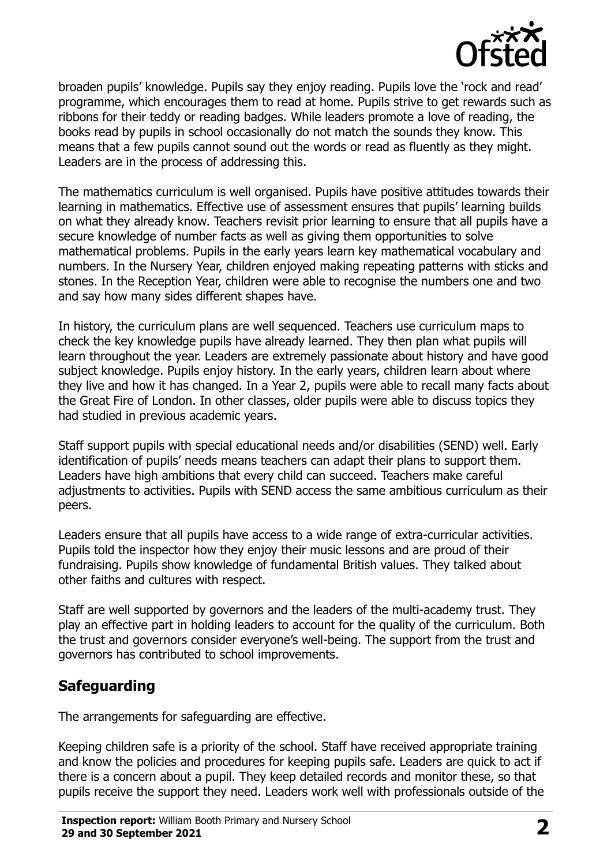

broaden pupils' knowledge. Pupils say they enjoy reading. Pupils love the 'rock and read' programme, which encourages them to read at home. Pupils strive to get rewards such as ribbons for their teddy or reading badges. While leaders promote a love of reading, the books read by pupils in school occasionally do not match the sounds they know. This means that a few pupils cannot sound out the words or read as fluently as they might. Leaders are in the process of addressing this.

The mathematics curriculum is well organised. Pupils have positive attitudes towards their learning in mathematics. Effective use of assessment ensures that pupils' learning builds on what they already know. Teachers revisit prior learning to ensure that all pupils have a secure knowledge of number facts as well as giving them opportunities to solve mathematical problems. Pupils in the early years learn key mathematical vocabulary and numbers. In the Nursery Year, children enjoyed making repeating patterns with sticks and stones. In the Reception Year, children were able to recognise the numbers one and two and say how many sides different shapes have.

In history, the curriculum plans are well sequenced. Teachers use curriculum maps to check the key knowledge pupils have already learned. They then plan what pupils will learn throughout the year. Leaders are extremely passionate about history and have good subject knowledge. Pupils enjoy history. In the early years, children learn about where they live and how it has changed. In a Year 2, pupils were able to recall many facts about the Great Fire of London. In other classes, older pupils were able to discuss topics they had studied in previous academic years.

Staff support pupils with special educational needs and/or disabilities (SEND) well. Early identification of pupils' needs means teachers can adapt their plans to support them. Leaders have high ambitions that every child can succeed. Teachers make careful adjustments to activities. Pupils with SEND access the same ambitious curriculum as their peers.

Leaders ensure that all pupils have access to a wide range of extra-curricular activities. Pupils told the inspector how they enjoy their music lessons and are proud of their fundraising. Pupils show knowledge of fundamental British values. They talked about other faiths and cultures with respect.

Staff are well supported by governors and the leaders of the multi-academy trust. They play an effective part in holding leaders to account for the quality of the curriculum. Both the trust and governors consider everyone's well-being. The support from the trust and governors has contributed to school improvements.

### **Safeguarding**

The arrangements for safeguarding are effective.

Keeping children safe is a priority of the school. Staff have received appropriate training and know the policies and procedures for keeping pupils safe. Leaders are quick to act if there is a concern about a pupil. They keep detailed records and monitor these, so that pupils receive the support they need. Leaders work well with professionals outside of the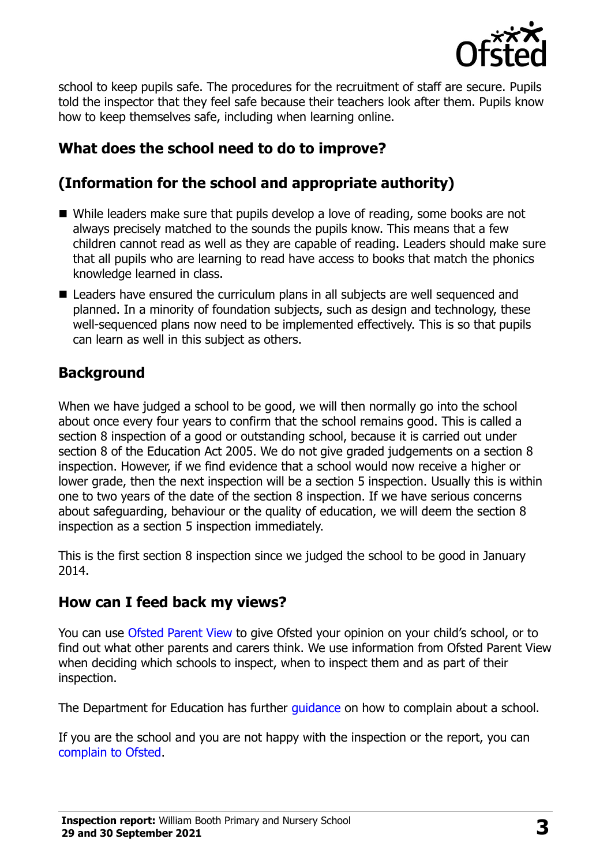

school to keep pupils safe. The procedures for the recruitment of staff are secure. Pupils told the inspector that they feel safe because their teachers look after them. Pupils know how to keep themselves safe, including when learning online.

# **What does the school need to do to improve?**

# **(Information for the school and appropriate authority)**

- While leaders make sure that pupils develop a love of reading, some books are not always precisely matched to the sounds the pupils know. This means that a few children cannot read as well as they are capable of reading. Leaders should make sure that all pupils who are learning to read have access to books that match the phonics knowledge learned in class.
- Leaders have ensured the curriculum plans in all subjects are well sequenced and planned. In a minority of foundation subjects, such as design and technology, these well-sequenced plans now need to be implemented effectively. This is so that pupils can learn as well in this subject as others.

### **Background**

When we have judged a school to be good, we will then normally go into the school about once every four years to confirm that the school remains good. This is called a section 8 inspection of a good or outstanding school, because it is carried out under section 8 of the Education Act 2005. We do not give graded judgements on a section 8 inspection. However, if we find evidence that a school would now receive a higher or lower grade, then the next inspection will be a section 5 inspection. Usually this is within one to two years of the date of the section 8 inspection. If we have serious concerns about safeguarding, behaviour or the quality of education, we will deem the section 8 inspection as a section 5 inspection immediately.

This is the first section 8 inspection since we judged the school to be good in January 2014.

#### **How can I feed back my views?**

You can use [Ofsted Parent View](https://parentview.ofsted.gov.uk/) to give Ofsted your opinion on your child's school, or to find out what other parents and carers think. We use information from Ofsted Parent View when deciding which schools to inspect, when to inspect them and as part of their inspection.

The Department for Education has further quidance on how to complain about a school.

If you are the school and you are not happy with the inspection or the report, you can [complain to Ofsted.](https://www.gov.uk/complain-ofsted-report)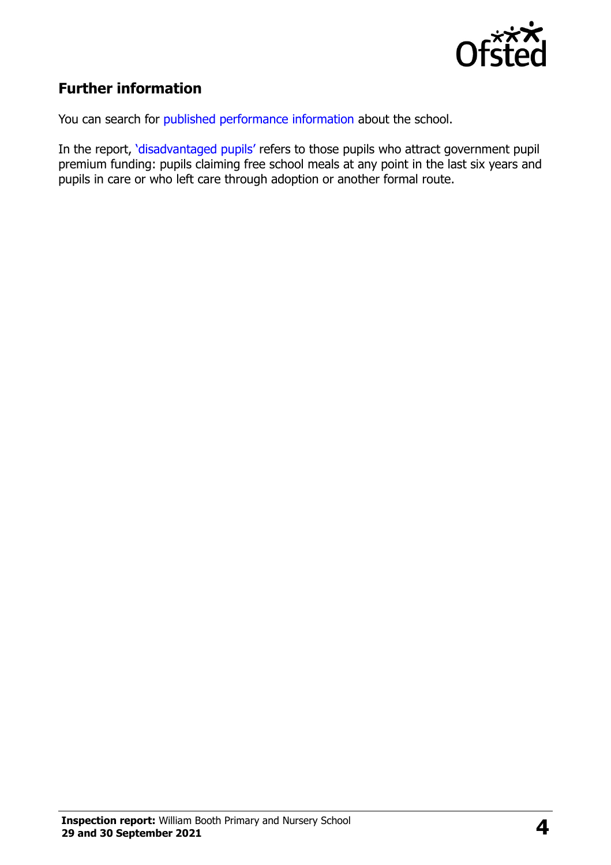

## **Further information**

You can search for [published performance information](http://www.compare-school-performance.service.gov.uk/) about the school.

In the report, '[disadvantaged pupils](http://www.gov.uk/guidance/pupil-premium-information-for-schools-and-alternative-provision-settings)' refers to those pupils who attract government pupil premium funding: pupils claiming free school meals at any point in the last six years and pupils in care or who left care through adoption or another formal route.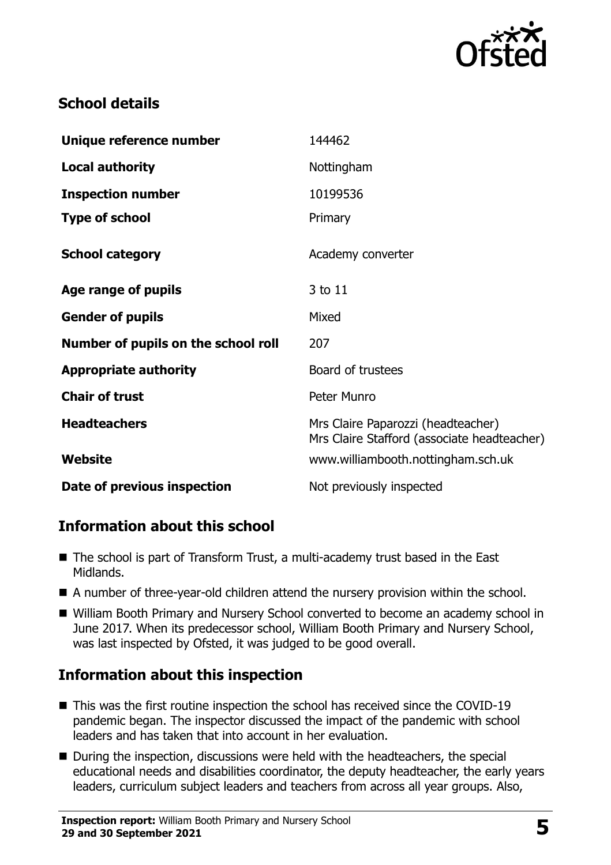

## **School details**

| Unique reference number             | 144462                                                                            |
|-------------------------------------|-----------------------------------------------------------------------------------|
| <b>Local authority</b>              | Nottingham                                                                        |
| <b>Inspection number</b>            | 10199536                                                                          |
| <b>Type of school</b>               | Primary                                                                           |
| <b>School category</b>              | Academy converter                                                                 |
| Age range of pupils                 | 3 to 11                                                                           |
| <b>Gender of pupils</b>             | Mixed                                                                             |
| Number of pupils on the school roll | 207                                                                               |
| <b>Appropriate authority</b>        | Board of trustees                                                                 |
| <b>Chair of trust</b>               | Peter Munro                                                                       |
| <b>Headteachers</b>                 | Mrs Claire Paparozzi (headteacher)<br>Mrs Claire Stafford (associate headteacher) |
| Website                             | www.williambooth.nottingham.sch.uk                                                |
| Date of previous inspection         | Not previously inspected                                                          |

### **Information about this school**

- The school is part of Transform Trust, a multi-academy trust based in the East Midlands.
- A number of three-year-old children attend the nursery provision within the school.
- William Booth Primary and Nursery School converted to become an academy school in June 2017. When its predecessor school, William Booth Primary and Nursery School, was last inspected by Ofsted, it was judged to be good overall.

# **Information about this inspection**

- This was the first routine inspection the school has received since the COVID-19 pandemic began. The inspector discussed the impact of the pandemic with school leaders and has taken that into account in her evaluation.
- During the inspection, discussions were held with the headteachers, the special educational needs and disabilities coordinator, the deputy headteacher, the early years leaders, curriculum subject leaders and teachers from across all year groups. Also,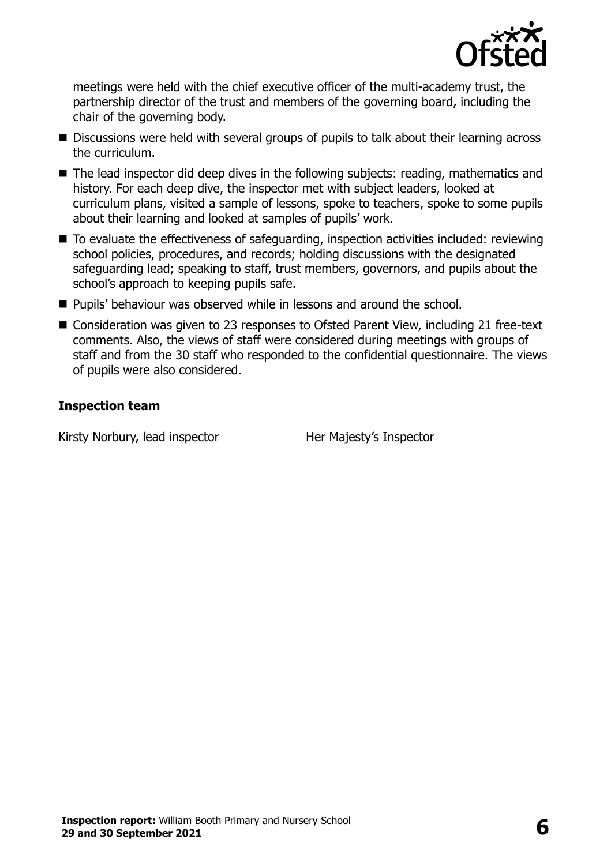

meetings were held with the chief executive officer of the multi-academy trust, the partnership director of the trust and members of the governing board, including the chair of the governing body.

- Discussions were held with several groups of pupils to talk about their learning across the curriculum.
- The lead inspector did deep dives in the following subjects: reading, mathematics and history. For each deep dive, the inspector met with subject leaders, looked at curriculum plans, visited a sample of lessons, spoke to teachers, spoke to some pupils about their learning and looked at samples of pupils' work.
- To evaluate the effectiveness of safeguarding, inspection activities included: reviewing school policies, procedures, and records; holding discussions with the designated safeguarding lead; speaking to staff, trust members, governors, and pupils about the school's approach to keeping pupils safe.
- **Pupils' behaviour was observed while in lessons and around the school.**
- Consideration was given to 23 responses to Ofsted Parent View, including 21 free-text comments. Also, the views of staff were considered during meetings with groups of staff and from the 30 staff who responded to the confidential questionnaire. The views of pupils were also considered.

#### **Inspection team**

Kirsty Norbury, lead inspector Her Majesty's Inspector